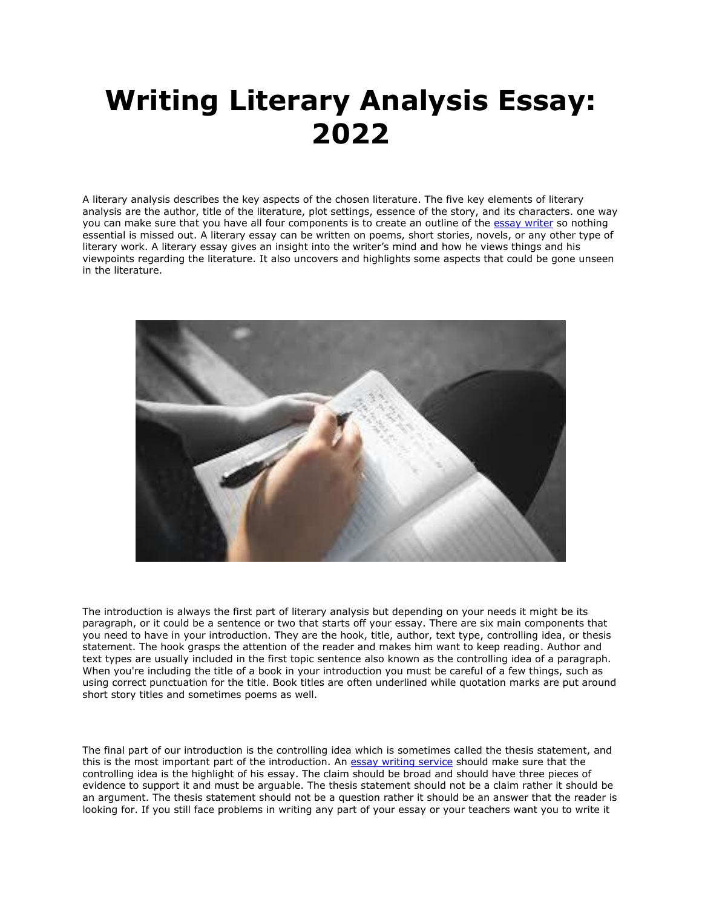## **Writing Literary Analysis Essay: 2022**

A literary analysis describes the key aspects of the chosen literature. The five key elements of literary analysis are the author, title of the literature, plot settings, essence of the story, and its characters. one way you can make sure that you have all four components is to create an outline of the [essay writer](https://essayhours.com/) so nothing essential is missed out. A literary essay can be written on poems, short stories, novels, or any other type of literary work. A literary essay gives an insight into the writer's mind and how he views things and his viewpoints regarding the literature. It also uncovers and highlights some aspects that could be gone unseen in the literature.



The introduction is always the first part of literary analysis but depending on your needs it might be its paragraph, or it could be a sentence or two that starts off your essay. There are six main components that you need to have in your introduction. They are the hook, title, author, text type, controlling idea, or thesis statement. The hook grasps the attention of the reader and makes him want to keep reading. Author and text types are usually included in the first topic sentence also known as the controlling idea of a paragraph. When you're including the title of a book in your introduction you must be careful of a few things, such as using correct punctuation for the title. Book titles are often underlined while quotation marks are put around short story titles and sometimes poems as well.

The final part of our introduction is the controlling idea which is sometimes called the thesis statement, and this is the most important part of the introduction. An [essay writing service](https://www.collegeessay.org/) should make sure that the controlling idea is the highlight of his essay. The claim should be broad and should have three pieces of evidence to support it and must be arguable. The thesis statement should not be a claim rather it should be an argument. The thesis statement should not be a question rather it should be an answer that the reader is looking for. If you still face problems in writing any part of your essay or your teachers want you to write it